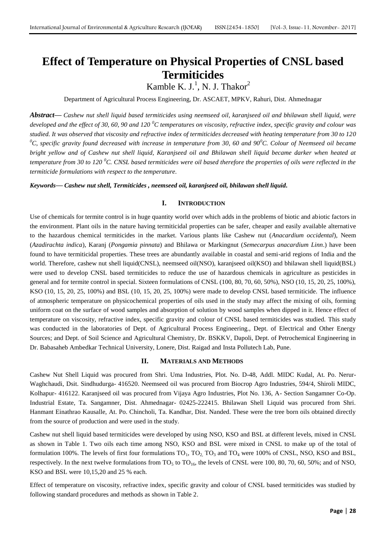# **Effect of Temperature on Physical Properties of CNSL based Termiticides**

Kamble K. J.<sup>1</sup>, N. J. Thakor<sup>2</sup>

Department of Agricultural Process Engineering, Dr. ASCAET, MPKV, Rahuri, Dist. Ahmednagar

*Abstract***—** *Cashew nut shell liquid based termiticides using neemseed oil, karanjseed oil and bhilawan shell liquid, were developed and the effect of 30, 60, 90 and 120 <sup>0</sup>C temperatures on viscosity, refractive index, specific gravity and colour was studied. It was observed that viscosity and refractive index of termiticides decreased with heating temperature from 30 to 120 <sup>0</sup>C, specific gravity found decreased with increase in temperature from 30, 60 and 90<sup>0</sup>C. Colour of Neemseed oil became bright yellow and of Cashew nut shell liquid, Karanjseed oil and Bhilawan shell liquid became darker when heated at temperature from 30 to 120 <sup>0</sup>C. CNSL based termiticides were oil based therefore the properties of oils were reflected in the termiticide formulations with respect to the temperature.*

*Keywords***—** *Cashew nut shell, Termiticides , neemseed oil, karanjseed oil, bhilawan shell liquid.*

### **I. INTRODUCTION**

Use of chemicals for termite control is in huge quantity world over which adds in the problems of biotic and abiotic factors in the environment. Plant oils in the nature having termiticidal properties can be safer, cheaper and easily available alternative to the hazardous chemical termiticides in the market. Various plants like Cashew nut (*Anacardium occidental*), Neem (*Azadirachta indica*), Karanj (*Pongamia pinnata*) and Bhilawa or Markingnut (*Semecarpus anacardium Linn*.) have been found to have termiticidal properties. These trees are abundantly available in coastal and semi-arid regions of India and the world. Therefore, cashew nut shell liquid(CNSL), neemseed oil(NSO), karanjseed oil(KSO) and bhilawan shell liquid(BSL) were used to develop CNSL based termiticides to reduce the use of hazardous chemicals in agriculture as pesticides in general and for termite control in special. Sixteen formulations of CNSL (100, 80, 70, 60, 50%), NSO (10, 15, 20, 25, 100%), KSO (10, 15, 20, 25, 100%) and BSL (10, 15, 20, 25, 100%) were made to develop CNSL based termiticide. The influence of atmospheric temperature on physicochemical properties of oils used in the study may affect the mixing of oils, forming uniform coat on the surface of wood samples and absorption of solution by wood samples when dipped in it. Hence effect of temperature on viscosity, refractive index, specific gravity and colour of CNSL based termiticides was studied. This study was conducted in the laboratories of Dept. of Agricultural Process Engineering., Dept. of Electrical and Other Energy Sources; and Dept. of Soil Science and Agricultural Chemistry, Dr. BSKKV, Dapoli, Dept. of Petrochemical Engineering in Dr. Babasaheb Ambedkar Technical University, Lonere, Dist. Raigad and Insta Pollutech Lab, Pune.

## **II. MATERIALS AND METHODS**

Cashew Nut Shell Liquid was procured from Shri. Uma Industries, Plot. No. D-48, Addl. MIDC Kudal, At. Po. Nerur-Waghchaudi, Dsit. Sindhudurga- 416520. Neemseed oil was procured from Biocrop Agro Industries, 594/4, Shiroli MIDC, Kolhapur- 416122. Karanjseed oil was procured from Vijaya Agro Industries, Plot No. 136, A- Section Sangamner Co-Op. Industrial Estate, Ta. Sangamner, Dist. Ahmednagar- 02425-222415. Bhilawan Shell Liquid was procured from Shri. Hanmant Einathrao Kausalle, At. Po. Chincholi, Ta. Kandhar, Dist. Nanded. These were the tree born oils obtained directly from the source of production and were used in the study.

Cashew nut shell liquid based termiticides were developed by using NSO, KSO and BSL at different levels, mixed in CNSL as shown in Table 1. Two oils each time among NSO, KSO and BSL were mixed in CNSL to make up of the total of formulation 100%. The levels of first four formulations  $TO_1$ ,  $TO_2$ ,  $TO_3$  and  $TO_4$  were 100% of CNSL, NSO, KSO and BSL, respectively. In the next twelve formulations from  $TO<sub>5</sub>$  to  $TO<sub>16</sub>$ , the levels of CNSL were 100, 80, 70, 60, 50%; and of NSO, KSO and BSL were 10,15,20 and 25 % each.

Effect of temperature on viscosity, refractive index, specific gravity and colour of CNSL based termiticides was studied by following standard procedures and methods as shown in Table 2.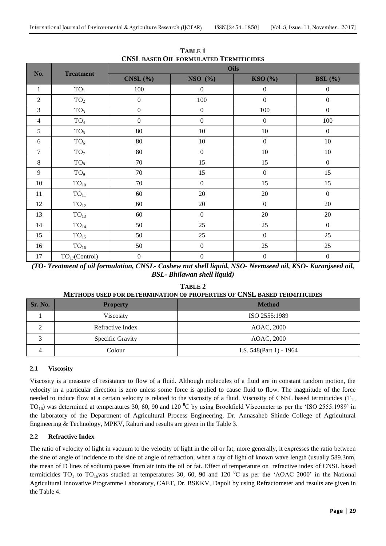|                |                     | Oils             |                  |                                         |                  |  |  |  |  |  |
|----------------|---------------------|------------------|------------------|-----------------------------------------|------------------|--|--|--|--|--|
| No.            | <b>Treatment</b>    | CNSL(%)          | NSO (%)          | $\text{KSO} \left( \frac{9}{6} \right)$ | BSL $(\% )$      |  |  |  |  |  |
| $\mathbf{1}$   | TO <sub>1</sub>     | 100              | $\boldsymbol{0}$ | $\boldsymbol{0}$                        | $\boldsymbol{0}$ |  |  |  |  |  |
| $\overline{2}$ | TO <sub>2</sub>     | $\boldsymbol{0}$ | 100              | $\boldsymbol{0}$                        | $\boldsymbol{0}$ |  |  |  |  |  |
| $\mathfrak{Z}$ | TO <sub>3</sub>     | $\boldsymbol{0}$ | $\boldsymbol{0}$ | 100                                     | $\boldsymbol{0}$ |  |  |  |  |  |
| $\overline{4}$ | TO <sub>4</sub>     | $\boldsymbol{0}$ | $\boldsymbol{0}$ | $\boldsymbol{0}$                        | 100              |  |  |  |  |  |
| 5              | TO <sub>5</sub>     | 80               | 10               | 10                                      | $\boldsymbol{0}$ |  |  |  |  |  |
| $\sqrt{6}$     | TO <sub>6</sub>     | 80               | 10               | $\boldsymbol{0}$                        | $10\,$           |  |  |  |  |  |
| $\overline{7}$ | TO <sub>7</sub>     | 80               | $\boldsymbol{0}$ | 10                                      | $10\,$           |  |  |  |  |  |
| $8\,$          | TO <sub>8</sub>     | 70               | 15               | 15                                      | $\boldsymbol{0}$ |  |  |  |  |  |
| 9              | TO <sub>9</sub>     | 70               | 15               | $\boldsymbol{0}$                        | 15               |  |  |  |  |  |
| 10             | $TO_{10}$           | 70               | $\boldsymbol{0}$ | 15                                      | 15               |  |  |  |  |  |
| 11             | ${\rm TO}_{11}$     | 60               | 20               | 20                                      | $\boldsymbol{0}$ |  |  |  |  |  |
| 12             | $TO_{12}$           | 60               | 20               | $\boldsymbol{0}$                        | $20\,$           |  |  |  |  |  |
| 13             | TO <sub>13</sub>    | 60               | $\boldsymbol{0}$ | 20                                      | 20               |  |  |  |  |  |
| 14             | ${\rm TO}_{14}$     | 50               | 25               | 25                                      | $\boldsymbol{0}$ |  |  |  |  |  |
| 15             | TO <sub>15</sub>    | 50               | 25               | $\boldsymbol{0}$                        | 25               |  |  |  |  |  |
| 16             | TO <sub>16</sub>    | 50               | $\boldsymbol{0}$ | 25                                      | 25               |  |  |  |  |  |
| 17             | $TO_{17}$ (Control) | $\boldsymbol{0}$ | $\boldsymbol{0}$ | $\boldsymbol{0}$                        | $\boldsymbol{0}$ |  |  |  |  |  |

**TABLE 1 CNSL BASED OIL FORMULATED TERMITICIDES**

*(TO- Treatment of oil formulation, CNSL- Cashew nut shell liquid, NSO- Neemseed oil, KSO- Karanjseed oil, BSL- Bhilawan shell liquid)*

**TABLE 2**

|         | METHODS USED FOR DETERMINATION OF PROPERTIES OF CNSL BASED TERMITICIDES |                            |  |  |  |  |  |  |  |  |  |
|---------|-------------------------------------------------------------------------|----------------------------|--|--|--|--|--|--|--|--|--|
| Sr. No. | <b>Property</b>                                                         | <b>Method</b>              |  |  |  |  |  |  |  |  |  |
|         | Viscosity                                                               | ISO 2555:1989              |  |  |  |  |  |  |  |  |  |
|         | Refractive Index                                                        | AOAC, 2000                 |  |  |  |  |  |  |  |  |  |
|         | Specific Gravity                                                        | AOAC, 2000                 |  |  |  |  |  |  |  |  |  |
|         | Colour                                                                  | I.S. $548$ (Part 1) - 1964 |  |  |  |  |  |  |  |  |  |

# **2.1 Viscosity**

Viscosity is a measure of resistance to flow of a fluid. Although molecules of a fluid are in constant random motion, the velocity in a particular direction is zero unless some force is applied to cause fluid to flow. The magnitude of the force needed to induce flow at a certain velocity is related to the viscosity of a fluid. Viscosity of CNSL based termiticides  $(T_1)$ . TO<sub>16</sub>) was determined at temperatures 30, 60, 90 and 120 <sup>o</sup>C by using Brookfield Viscometer as per the 'ISO 2555:1989' in the laboratory of the Department of Agricultural Process Engineering, Dr. Annasaheb Shinde College of Agricultural Engineering & Technology, MPKV, Rahuri and results are given in the Table 3.

# **2.2 Refractive Index**

The ratio of velocity of light in vacuum to the velocity of light in the oil or fat; more generally, it expresses the ratio between the sine of angle of incidence to the sine of angle of refraction, when a ray of light of known wave length (usually 589.3nm, the mean of D lines of sodium) passes from air into the oil or fat. Effect of temperature on refractive index of CNSL based termiticides  $TO_1$  to  $TO_{16}$ was studied at temperatures 30, 60, 90 and 120  $^{\circ}$ C as per the 'AOAC 2000' in the National Agricultural Innovative Programme Laboratory, CAET, Dr. BSKKV, Dapoli by using Refractometer and results are given in the Table 4.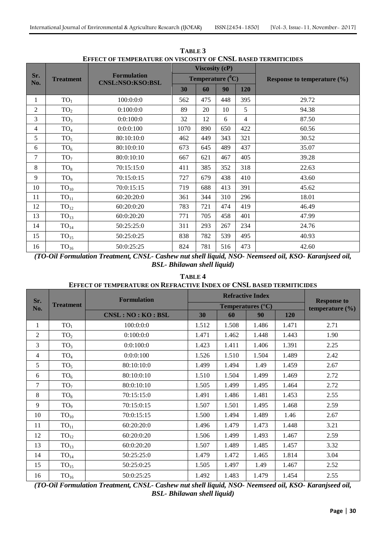|                |                  |                                               |      | <b>Viscosity (cP)</b> |                              |            |                                 |
|----------------|------------------|-----------------------------------------------|------|-----------------------|------------------------------|------------|---------------------------------|
| Sr.<br>No.     | <b>Treatment</b> | <b>Formulation</b><br><b>CNSL:NSO:KSO:BSL</b> |      |                       | <b>Temperature</b> $(^{0}C)$ |            | Response to temperature $(\% )$ |
|                |                  |                                               | 30   | 60                    | 90                           | <b>120</b> |                                 |
| 1              | TO <sub>1</sub>  | 100:0:0:0                                     | 562  | 475                   | 448                          | 395        | 29.72                           |
| $\overline{2}$ | TO <sub>2</sub>  | 0:100:0:0                                     | 89   | 20                    | 10                           | 5          | 94.38                           |
| 3              | TO <sub>3</sub>  | 0:0:100:0                                     | 32   | 12                    | 6                            | 4          | 87.50                           |
| 4              | TO <sub>4</sub>  | 0:0:0:100                                     | 1070 | 890                   | 650                          | 422        | 60.56                           |
| 5              | TO <sub>5</sub>  | 80:10:10:0                                    | 462  | 449                   | 343                          | 321        | 30.52                           |
| 6              | TO <sub>6</sub>  | 80:10:0:10                                    | 673  | 645                   | 489                          | 437        | 35.07                           |
| 7              | TO <sub>7</sub>  | 80:0:10:10                                    | 667  | 621                   | 467                          | 405        | 39.28                           |
| 8              | TO <sub>8</sub>  | 70:15:15:0                                    | 411  | 385                   | 352                          | 318        | 22.63                           |
| 9              | TO <sub>9</sub>  | 70:15:0:15                                    | 727  | 679                   | 438                          | 410        | 43.60                           |
| 10             | $TO_{10}$        | 70:0:15:15                                    | 719  | 688                   | 413                          | 391        | 45.62                           |
| 11             | TO <sub>11</sub> | 60:20:20:0                                    | 361  | 344                   | 310                          | 296        | 18.01                           |
| 12             | TO <sub>12</sub> | 60:20:0:20                                    | 783  | 721                   | 474                          | 419        | 46.49                           |
| 13             | TO <sub>13</sub> | 60:0:20:20                                    | 771  | 705                   | 458                          | 401        | 47.99                           |
| 14             | TO <sub>14</sub> | 50:25:25:0                                    | 311  | 293                   | 267                          | 234        | 24.76                           |
| 15             | $TO_{15}$        | 50:25:0:25                                    | 838  | 782                   | 539                          | 495        | 40.93                           |
| 16             | TO <sub>16</sub> | 50:0:25:25                                    | 824  | 781                   | 516                          | 473        | 42.60                           |

**TABLE 3 EFFECT OF TEMPERATURE ON VISCOSITY OF CNSL BASED TERMITICIDES**

*(TO-Oil Formulation Treatment, CNSL- Cashew nut shell liquid, NSO- Neemseed oil, KSO- Karanjseed oil, BSL- Bhilawan shell liquid)*

# **TABLE 4 EFFECT OF TEMPERATURE ON REFRACTIVE INDEX OF CNSL BASED TERMITICIDES**

| Sr. |                  | <b>Formulation</b> |       | <b>Refractive Index</b>           | <b>Response to</b><br>temperature $(\% )$ |       |      |
|-----|------------------|--------------------|-------|-----------------------------------|-------------------------------------------|-------|------|
| No. | <b>Treatment</b> |                    |       | <b>Temperatures</b> $(^{\circ}C)$ |                                           |       |      |
|     |                  | CNSL:NO:KO:BSL     | 30    | 60                                | 90                                        | 120   |      |
| 1   | TO <sub>1</sub>  | 100:0:0:0          | 1.512 | 1.508                             | 1.486                                     | 1.471 | 2.71 |
| 2   | TO <sub>2</sub>  | 0:100:0:0          | 1.471 | 1.462                             | 1.448                                     | 1.443 | 1.90 |
| 3   | TO <sub>3</sub>  | 0:0:100:0          | 1.423 | 1.411                             | 1.406                                     | 1.391 | 2.25 |
| 4   | TO <sub>4</sub>  | 0:0:0:100          | 1.526 | 1.510                             | 1.504                                     | 1.489 | 2.42 |
| 5   | TO <sub>5</sub>  | 80:10:10:0         | 1.499 | 1.494                             | 1.49                                      | 1.459 | 2.67 |
| 6   | TO <sub>6</sub>  | 80:10:0:10         | 1.510 | 1.504                             | 1.499                                     | 1.469 | 2.72 |
| 7   | TO <sub>7</sub>  | 80:0:10:10         | 1.505 | 1.499                             | 1.495                                     | 1.464 | 2.72 |
| 8   | TO <sub>8</sub>  | 70:15:15:0         | 1.491 | 1.486                             | 1.481                                     | 1.453 | 2.55 |
| 9   | TO <sub>9</sub>  | 70:15:0:15         | 1.507 | 1.501                             | 1.495                                     | 1.468 | 2.59 |
| 10  | $TO_{10}$        | 70:0:15:15         | 1.500 | 1.494                             | 1.489                                     | 1.46  | 2.67 |
| 11  | TO <sub>11</sub> | 60:20:20:0         | 1.496 | 1.479                             | 1.473                                     | 1.448 | 3.21 |
| 12  | TO <sub>12</sub> | 60:20:0:20         | 1.506 | 1.499                             | 1.493                                     | 1.467 | 2.59 |
| 13  | TO <sub>13</sub> | 60:0:20:20         | 1.507 | 1.489                             | 1.485                                     | 1.457 | 3.32 |
| 14  | TO <sub>14</sub> | 50:25:25:0         | 1.479 | 1.472                             | 1.465                                     | 1.814 | 3.04 |
| 15  | $TO_{15}$        | 50:25:0:25         | 1.505 | 1.497                             | 1.49                                      | 1.467 | 2.52 |
| 16  | TO <sub>16</sub> | 50:0:25:25         | 1.492 | 1.483                             | 1.479                                     | 1.454 | 2.55 |

*(TO-Oil Formulation Treatment, CNSL- Cashew nut shell liquid, NSO- Neemseed oil, KSO- Karanjseed oil, BSL- Bhilawan shell liquid)*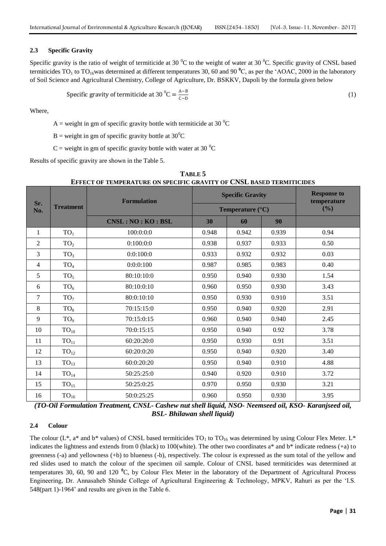#### **2.3 Specific Gravity**

Specific gravity is the ratio of weight of termiticide at 30  $^0$ C to the weight of water at 30  $^0$ C. Specific gravity of CNSL based termiticides  $TO_1$  to  $TO_{16}$ was determined at different temperatures 30, 60 and 90  $^0C$ , as per the 'AOAC, 2000 in the laboratory of Soil Science and Agricultural Chemistry, College of Agriculture, Dr. BSKKV, Dapoli by the formula given below

Specific gravity of terminate at 30 
$$
^0C = \frac{A-B}{C-D}
$$
 (1)

Where,

A = weight in gm of specific gravity bottle with termiticide at 30  $^{\circ}$ C

B = weight in gm of specific gravity bottle at  $30^0C$ 

 $C$  = weight in gm of specific gravity bottle with water at 30  $^{\circ}C$ 

Results of specific gravity are shown in the Table 5.

| Sr.            |                  | <b>Formulation</b>   |       | <b>Specific Gravity</b>          | <b>Response to</b><br>temperature |      |
|----------------|------------------|----------------------|-------|----------------------------------|-----------------------------------|------|
| No.            | <b>Treatment</b> |                      |       | <b>Temperature</b> $(^{\circ}C)$ | (%)                               |      |
|                |                  | CNSL : NO : KO : BSL | 30    | 60                               | 90                                |      |
| 1              | TO <sub>1</sub>  | 100:0:0:0            | 0.948 | 0.942                            | 0.939                             | 0.94 |
| $\overline{2}$ | TO <sub>2</sub>  | 0:100:0:0            | 0.938 | 0.937                            | 0.933                             | 0.50 |
| 3              | TO <sub>3</sub>  | 0:0:100:0            | 0.933 | 0.932                            | 0.932                             | 0.03 |
| $\overline{4}$ | TO <sub>4</sub>  | 0:0:0:100            | 0.987 | 0.985                            | 0.983                             | 0.40 |
| 5              | TO <sub>5</sub>  | 80:10:10:0           | 0.950 | 0.940                            | 0.930                             | 1.54 |
| 6              | TO <sub>6</sub>  | 80:10:0:10           | 0.960 | 0.950                            | 0.930                             | 3.43 |
| $\tau$         | TO <sub>7</sub>  | 80:0:10:10           | 0.950 | 0.930                            | 0.910                             | 3.51 |
| 8              | TO <sub>8</sub>  | 70:15:15:0           | 0.950 | 0.940                            | 0.920                             | 2.91 |
| 9              | TO <sub>9</sub>  | 70:15:0:15           | 0.960 | 0.940                            | 0.940                             | 2.45 |
| 10             | $TO_{10}$        | 70:0:15:15           | 0.950 | 0.940                            | 0.92                              | 3.78 |
| 11             | TO <sub>11</sub> | 60:20:20:0           | 0.950 | 0.930                            | 0.91                              | 3.51 |
| 12             | $TO_{12}$        | 60:20:0:20           | 0.950 | 0.940                            | 0.920                             | 3.40 |
| 13             | TO <sub>13</sub> | 60:0:20:20           | 0.950 | 0.940                            | 0.910                             | 4.88 |
| 14             | TO <sub>14</sub> | 50:25:25:0           | 0.940 | 0.920                            | 0.910                             | 3.72 |
| 15             | TO <sub>15</sub> | 50:25:0:25           | 0.970 | 0.950                            | 0.930                             | 3.21 |
| 16             | $TO_{16}$        | 50:0:25:25           | 0.960 | 0.950                            | 0.930                             | 3.95 |

**TABLE 5 EFFECT OF TEMPERATURE ON SPECIFIC GRAVITY OF CNSL BASED TERMITICIDES**

*(TO-Oil Formulation Treatment, CNSL- Cashew nut shell liquid, NSO- Neemseed oil, KSO- Karanjseed oil, BSL- Bhilawan shell liquid)*

#### **2.4 Colour**

The colour ( $L^*$ , a<sup>\*</sup> and b<sup>\*</sup> values) of CNSL based termiticides TO<sub>1</sub> to TO<sub>16</sub> was determined by using Colour Flex Meter. L<sup>\*</sup> indicates the lightness and extends from 0 (black) to 100(white). The other two coordinates a\* and b\* indicate redness (+a) to greenness (-a) and yellowness (+b) to blueness (-b), respectively. The colour is expressed as the sum total of the yellow and red slides used to match the colour of the specimen oil sample. Colour of CNSL based termiticides was determined at temperatures 30, 60, 90 and 120 **<sup>0</sup>**C, by Colour Flex Meter in the laboratory of the Department of Agricultural Process Engineering, Dr. Annasaheb Shinde College of Agricultural Engineering & Technology, MPKV, Rahuri as per the 'I.S. 548(part 1)-1964' and results are given in the Table 6.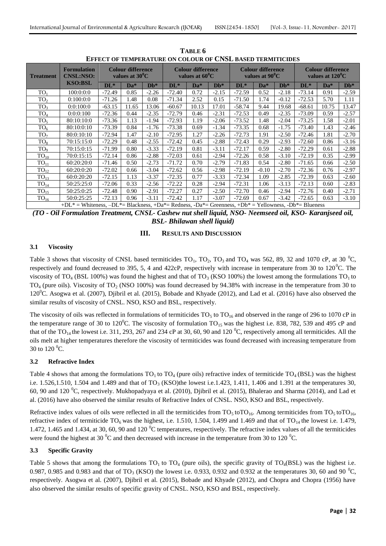| <b>Treatment</b> | <b>Formulation</b><br><b>CNSL:NSO:</b>                                                               | <b>Colour difference</b><br>values at $30^0$ C |       |         | <b>Colour difference</b><br>values at $60^0$ C |       |         | <b>Colour difference</b><br>values at $90^{\circ}$ C |         | <b>Colour difference</b><br>values at $120^{\circ}$ C |          |       |         |
|------------------|------------------------------------------------------------------------------------------------------|------------------------------------------------|-------|---------|------------------------------------------------|-------|---------|------------------------------------------------------|---------|-------------------------------------------------------|----------|-------|---------|
|                  | <b>KSO:BSL</b>                                                                                       | $DL^*$                                         | Da*   | $Db*$   | $\mathbf{DL}^*$                                | $Da*$ | $Db^*$  | $DL^*$                                               | $Da*$   | $Db*$                                                 | $DL^*$   | $Da*$ | $Db*$   |
| TO <sub>1</sub>  | 100:0:0:0                                                                                            | $-72.49$                                       | 0.85  | $-2.26$ | $-72.40$                                       | 0.72  | $-2.15$ | $-72.59$                                             | 0.52    | $-2.18$                                               | $-73.14$ | 0.91  | $-2.59$ |
| TO <sub>2</sub>  | 0:100:0:0                                                                                            | $-71.26$                                       | 1.48  | 0.08    | $-71.34$                                       | 2.52  | 0.15    | $-71.50$                                             | 1.74    | $-0.12$                                               | $-72.53$ | 5.70  | 1.11    |
| TO <sub>3</sub>  | 0:0:100:0                                                                                            | $-63.15$                                       | 11.65 | 13.06   | $-60.67$                                       | 10.13 | 17.01   | $-58.74$                                             | 9.44    | 19.68                                                 | $-68.61$ | 10.75 | 13.47   |
| TO <sub>4</sub>  | 0:0:0:100                                                                                            | $-72.36$                                       | 0.44  | $-2.35$ | $-72.79$                                       | 0.46  | $-2.31$ | $-72.53$                                             | 0.49    | $-2.35$                                               | $-73.09$ | 0.59  | $-2.57$ |
| TO <sub>5</sub>  | 80:10:10:0                                                                                           | $-73.36$                                       | 1.13  | $-1.94$ | $-72.93$                                       | 1.19  | $-2.06$ | $-73.52$                                             | 1.48    | $-2.04$                                               | $-73.25$ | 1.58  | $-2.01$ |
| TO <sub>6</sub>  | 80:10:0:10                                                                                           | $-73.39$                                       | 0.84  | $-1.76$ | $-73.38$                                       | 0.69  | $-1.34$ | $-73.35$                                             | 0.68    | $-1.75$                                               | $-73.40$ | 1.43  | $-2.46$ |
| TO <sub>7</sub>  | 80:0:10:10                                                                                           | $-72.94$                                       | 1.47  | $-2.10$ | $-72.95$                                       | 1.27  | $-2.26$ | $-72.73$                                             | 1.91    | $-2.50$                                               | $-72.46$ | 1.81  | $-2.70$ |
| TO <sub>8</sub>  | 70:15:15:0                                                                                           | $-72.29$                                       | 0.48  | $-2.55$ | $-72.42$                                       | 0.45  | $-2.88$ | $-72.43$                                             | 0.29    | $-2.93$                                               | $-72.60$ | 0.86  | $-3.16$ |
| TO <sub>9</sub>  | 70:15:0:15                                                                                           | $-71.99$                                       | 0.80  | $-3.33$ | $-72.19$                                       | 0.81  | $-3.11$ | $-72.17$                                             | 0.59    | $-2.80$                                               | $-72.29$ | 0.61  | $-2.88$ |
| $TO_{10}$        | 70:0:15:15                                                                                           | $-72.14$                                       | 0.86  | $-2.88$ | $-72.03$                                       | 0.61  | $-2.94$ | $-72.26$                                             | 0.58    | $-3.10$                                               | $-72.19$ | 0.35  | $-2.99$ |
| TO <sub>11</sub> | 60:20:20:0                                                                                           | $-71.46$                                       | 0.50  | $-2.73$ | $-71.72$                                       | 0.70  | $-2.79$ | $-71.83$                                             | 0.54    | $-2.80$                                               | $-71.65$ | 0.66  | $-2.50$ |
| TO <sub>12</sub> | 60:20:0:20                                                                                           | $-72.02$                                       | 0.66  | $-3.04$ | $-72.62$                                       | 0.56  | $-2.98$ | $-72.19$                                             | $-0.10$ | $-2.70$                                               | $-72.36$ | 0.76  | $-2.97$ |
| $TO_{13}$        | 60:0:20:20                                                                                           | $-72.15$                                       | 1.13  | $-3.37$ | $-72.35$                                       | 0.77  | $-3.33$ | $-72.34$                                             | 1.09    | $-2.85$                                               | $-72.39$ | 0.63  | $-2.60$ |
| $TO_{14}$        | 50:25:25:0                                                                                           | $-72.06$                                       | 0.33  | $-2.56$ | $-72.22$                                       | 0.28  | $-2.94$ | $-72.31$                                             | 1.06    | $-3.13$                                               | $-72.13$ | 0.60  | $-2.83$ |
| TO <sub>15</sub> | 50:25:0:25                                                                                           | $-72.48$                                       | 0.90  | $-2.91$ | $-72.27$                                       | 0.27  | $-2.50$ | $-72.70$                                             | 0.46    | $-2.94$                                               | $-72.76$ | 0.40  | $-2.71$ |
| $TO_{16}$        | 50:0:25:25                                                                                           | $-72.13$                                       | 0.96  | $-3.11$ | $-72.42$                                       | 1.17  | $-3.07$ | $-72.69$                                             | 0.67    | $-3.42$                                               | $-72.65$ | 0.63  | $-3.10$ |
|                  | +DL* = Whiteness, -DL*= Blackness, +Da*= Redness, -Da*= Greenness, +Db* = Yellowness, -Db*= Blueness |                                                |       |         |                                                |       |         |                                                      |         |                                                       |          |       |         |

**TABLE 6 EFFECT OF TEMPERATURE ON COLOUR OF CNSL BASED TERMITICIDES**

*(TO - Oil Formulation Treatment, CNSL- Cashew nut shell liquid, NSO- Neemseed oil, KSO- Karanjseed oil, BSL- Bhilawan shell liquid)*

#### **III. RESULTS AND DISCUSSION**

#### **3.1 Viscosity**

Table 3 shows that viscosity of CNSL based termiticides  $TO_1$ ,  $TO_2$ ,  $TO_3$  and  $TO_4$  was 562, 89, 32 and 1070 cP, at 30 <sup>0</sup>C, respectively and found decreased to 395, 5, 4 and 422cP, respectively with increase in temperature from 30 to  $120^{\circ}$ C. The viscosity of TO<sub>4</sub> (BSL 100%) was found the highest and that of TO<sub>3</sub> (KSO 100%) the lowest among the formulations TO<sub>1</sub> to  $TO<sub>4</sub>$  (pure oils). Viscosity of  $TO<sub>2</sub>$  (NSO 100%) was found decreased by 94.38% with increase in the temperature from 30 to 120<sup>0</sup>C. Asogwa et al. (2007), Djibril et al. (2015), Bobade and Khyade (2012), and Lad et al. (2016) have also observed the similar results of viscosity of CNSL. NSO, KSO and BSL, respectively.

The viscosity of oils was reflected in formulations of termiticides  $TO<sub>5</sub>$  to  $TO<sub>16</sub>$  and observed in the range of 296 to 1070 cP in the temperature range of 30 to 120<sup>0</sup>C. The viscosity of formulation  $TO_{15}$  was the highest i.e. 838, 782, 539 and 495 cP and that of the TO<sub>14</sub> the lowest i.e. 311, 293, 267 and 234 cP at 30, 60, 90 and 120  $^{\circ}$ C, respectively among all termiticides. All the oils melt at higher temperatures therefore the viscosity of termiticides was found decreased with increasing temperature from 30 to  $120^{\circ}$ C.

#### **3.2 Refractive Index**

Table 4 shows that among the formulations  $TO_1$  to  $TO_4$  (pure oils) refractive index of termiticide  $TO_4$  (BSL) was the highest i.e. 1.526,1.510, 1.504 and 1.489 and that of  $TO_3$  (KSO)the lowest i.e. 1.423, 1.411, 1.406 and 1.391 at the temperatures 30, 60, 90 and 120  $^0$ C, respectively. Mukhopadyaya et al. (2010), Djibril et al. (2015), Bhalerao and Sharma (2014), and Lad et al. (2016) have also observed the similar results of Refractive Index of CNSL. NSO, KSO and BSL, respectively.

Refractive index values of oils were reflected in all the termiticides from  $TO<sub>5</sub>$  to $TO<sub>16</sub>$ , Among termiticides from  $TO<sub>5</sub>$  to $TO<sub>16</sub>$ , refractive index of termiticide  $TO_6$  was the highest, i.e. 1.510, 1.504, 1.499 and 1.469 and that of  $TO_{14}$  the lowest i.e. 1.479, 1.472, 1.465 and 1.434, at 30, 60, 90 and 120 $\rm{^0C}$  temperatures, respectively. The refractive index values of all the termiticides were found the highest at 30  $\rm{^0C}$  and then decreased with increase in the temperature from 30 to 120  $\rm{^0C}$ .

#### **3.3 Specific Gravity**

Table 5 shows that among the formulations  $TO_1$  to  $TO_4$  (pure oils), the specific gravity of  $TO_4(BSL)$  was the highest i.e. 0.987, 0.985 and 0.983 and that of TO<sub>3</sub> (KSO) the lowest i.e. 0.933, 0.932 and 0.932 at the temperatures 30, 60 and 90 <sup>o</sup>C, respectively. Asogwa et al. (2007), Djibril et al. (2015), Bobade and Khyade (2012), and Chopra and Chopra (1956) have also observed the similar results of specific gravity of CNSL. NSO, KSO and BSL, respectively.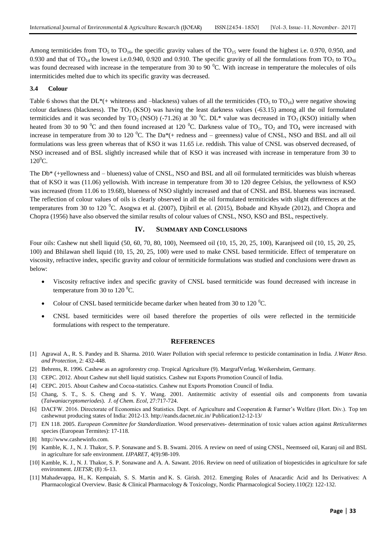Among termiticides from  $TO_5$  to  $TO_{16}$ , the specific gravity values of the  $TO_{15}$  were found the highest i.e. 0.970, 0.950, and 0.930 and that of TO<sub>14</sub> the lowest i.e.0.940, 0.920 and 0.910. The specific gravity of all the formulations from TO<sub>1</sub> to TO<sub>16</sub> was found decreased with increase in the temperature from 30 to 90  $^{\circ}$ C. With increase in temperature the molecules of oils intermiticides melted due to which its specific gravity was decreased.

#### **3.4 Colour**

Table 6 shows that the DL\*(+ whiteness and –blackness) values of all the termiticides (TO<sub>5</sub> to TO<sub>16</sub>) were negative showing colour darkness (blackness). The TO<sub>3</sub> (KSO) was having the least darkness values  $(-63.15)$  among all the oil formulated termiticides and it was seconded by TO<sub>2</sub> (NSO) (-71.26) at 30 <sup>o</sup>C. DL\* value was decreased in TO<sub>3</sub> (KSO) initially when heated from 30 to 90  $\rm{^0C}$  and then found increased at 120  $\rm{^0C}$ . Darkness value of TO<sub>1</sub>, TO<sub>2</sub> and TO<sub>4</sub> were increased with increase in temperature from 30 to 120  $^{\circ}$ C. The Da<sup>\*</sup>(+ redness and – greenness) value of CNSL, NSO and BSL and all oil formulations was less green whereas that of KSO it was 11.65 i.e. reddish. This value of CNSL was observed decreased, of NSO increased and of BSL slightly increased while that of KSO it was increased with increase in temperature from 30 to  $120^0C$ .

The Db\* (+yellowness and – blueness) value of CNSL, NSO and BSL and all oil formulated termiticides was bluish whereas that of KSO it was (11.06) yellowish. With increase in temperature from 30 to 120 degree Celsius, the yellowness of KSO was increased (from 11.06 to 19.68), blueness of NSO slightly increased and that of CNSL and BSL blueness was increased. The reflection of colour values of oils is clearly observed in all the oil formulated termiticides with slight differences at the temperatures from 30 to 120  $^{0}$ C. Asogwa et al. (2007), Djibril et al. (2015), Bobade and Khyade (2012), and Chopra and Chopra (1956) have also observed the similar results of colour values of CNSL, NSO, KSO and BSL, respectively.

#### **IV. SUMMARY AND CONCLUSIONS**

Four oils: Cashew nut shell liquid (50, 60, 70, 80, 100), Neemseed oil (10, 15, 20, 25, 100), Karanjseed oil (10, 15, 20, 25, 100) and Bhilawan shell liquid (10, 15, 20, 25, 100) were used to make CNSL based termiticide. Effect of temperature on viscosity, refractive index, specific gravity and colour of termiticide formulations was studied and conclusions were drawn as below:

- Viscosity refractive index and specific gravity of CNSL based termiticide was found decreased with increase in temperature from 30 to  $120^{\circ}$ C.
- Colour of CNSL based termiticide became darker when heated from 30 to 120 $^{\circ}$ C.
- CNSL based termiticides were oil based therefore the properties of oils were reflected in the termiticide formulations with respect to the temperature.

#### **REFERENCES**

- [1] Agrawal A., R. S. Pandey and B. Sharma. 2010. Water Pollution with special reference to pesticide contamination in India. *J.Water Reso. and Protection*, 2: 432-448.
- [2] Behrens, R. 1996. Cashew as an agroforestry crop. Tropical Agriculture (9). MargrafVerlag. Weikersheim, Germany.
- [3] CEPC. 2012. About Cashew nut shell liquid statistics. Cashew nut Exports Promotion Council of India.
- [4] CEPC. 2015. About Cashew and Cocoa-statistics. Cashew nut Exports Promotion Council of India.
- [5] Chang, S. T., S. S. Cheng and S. Y. Wang. 2001. Antitermitic activity of essential oils and components from tawania (*Taiwaniacryptomeriodes*). *J. of Chem. Ecol*, 27:717-724.
- [6] DACFW. 2016. Directorate of Economics and Statistics. Dept. of Agriculture and Cooperation & Farmer's Welfare (Hort. Div.). Top ten cashewnut producing states of India: 2012-13. http://eands.dacnet.nic.in/ Publication12-12-13/
- [7] EN 118. 2005. *European Committee for Standardization*. Wood preservatives- determination of toxic values action against *Reticulitermes* species (European Termites): 17-118.
- [8] http:[//www.cashewinfo.com.](http://www.cashewinfo.com./)
- [9] Kamble, K. J., N. J. Thakor, S. P. Sonawane and S. B. Swami. 2016. A review on need of using CNSL, Neemseed oil, Karanj oil and BSL in agriculture for safe environment. *IJPARET*, 4(9):98-109.
- [10] Kamble, K. J., N. J. Thakor, S. P. Sonawane and A. A. Sawant. 2016. Review on need of utilization of biopesticides in agriculture for safe environment. *IJETSR*; (8) :6-13.
- [11] Mahadevappa, H., K. Kempaiah, S. S. Martin and K. S. Girish. 2012. Emerging Roles of Anacardic Acid and Its Derivatives: A Pharmacological Overview. Basic & Clinical Pharmacology & Toxicology, Nordic Pharmacological Society.110(2): 122-132.